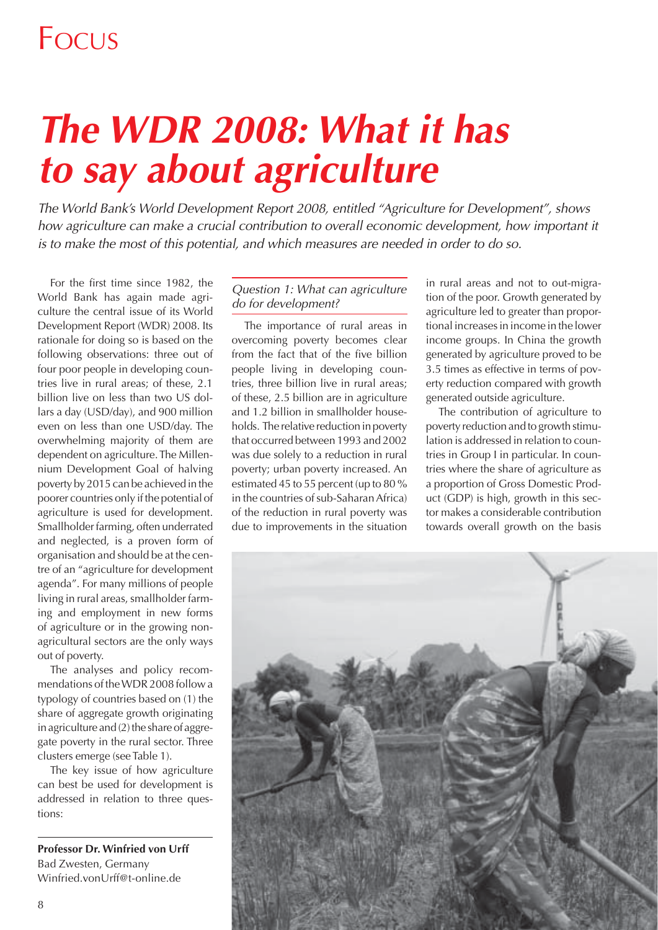# *The WDR 2008: What it has to say about agriculture*

*The World Bank's World Development Report 2008, entitled "Agriculture for Development", shows*  how agriculture can make a crucial contribution to overall economic development, how important it *is to make the most of this potential, and which measures are needed in order to do so.* 

For the first time since 1982, the World Bank has again made agriculture the central issue of its World Development Report (WDR) 2008. Its rationale for doing so is based on the following observations: three out of four poor people in developing countries live in rural areas; of these, 2.1 billion live on less than two US dollars a day (USD/day), and 900 million even on less than one USD/day. The overwhelming majority of them are dependent on agriculture. The Millennium Development Goal of halving poverty by 2015 can be achieved in the poorer countries only if the potential of agriculture is used for development. Smallholder farming, often underrated and neglected, is a proven form of organisation and should be at the centre of an "agriculture for development agenda". For many millions of people living in rural areas, smallholder farming and employment in new forms of agriculture or in the growing nonagricultural sectors are the only ways out of poverty.

The analyses and policy recommendations of the WDR 2008 follow a typology of countries based on (1) the share of aggregate growth originating in agriculture and (2) the share of aggregate poverty in the rural sector. Three clusters emerge (see Table 1).

The key issue of how agriculture can best be used for development is addressed in relation to three questions:

**Professor Dr. Winfried von Urff** Bad Zwesten, Germany Winfried.vonUrff@t-online.de

#### *Question 1: What can agriculture do for development?*

The importance of rural areas in overcoming poverty becomes clear from the fact that of the five billion people living in developing countries, three billion live in rural areas; of these, 2.5 billion are in agriculture and 1.2 billion in smallholder households. The relative reduction in poverty that occurred between 1993 and 2002 was due solely to a reduction in rural poverty; urban poverty increased. An estimated 45 to 55 percent (up to 80 % in the countries of sub-Saharan Africa) of the reduction in rural poverty was due to improvements in the situation in rural areas and not to out-migration of the poor. Growth generated by agriculture led to greater than proportional increases in income in the lower income groups. In China the growth generated by agriculture proved to be 3.5 times as effective in terms of poverty reduction compared with growth generated outside agriculture.

The contribution of agriculture to poverty reduction and to growth stimulation is addressed in relation to countries in Group I in particular. In countries where the share of agriculture as a proportion of Gross Domestic Product (GDP) is high, growth in this sector makes a considerable contribution towards overall growth on the basis

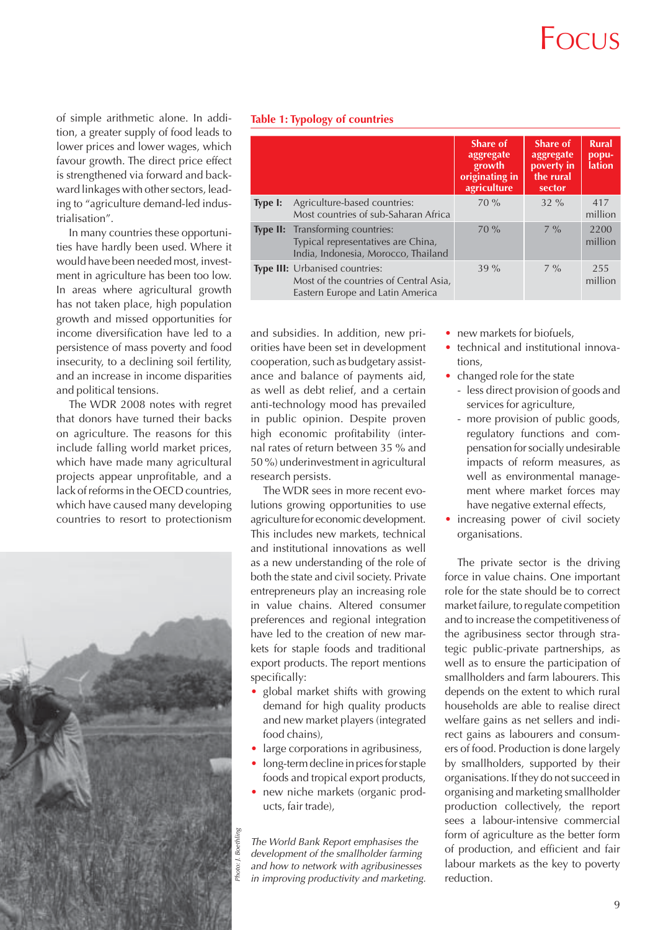## $F_{\bigcirc}$ CUS

of simple arithmetic alone. In addition, a greater supply of food leads to lower prices and lower wages, which favour growth. The direct price effect is strengthened via forward and backward linkages with other sectors, leading to "agriculture demand-led industrialisation".

In many countries these opportunities have hardly been used. Where it would have been needed most, investment in agriculture has been too low. In areas where agricultural growth has not taken place, high population growth and missed opportunities for income diversification have led to a persistence of mass poverty and food insecurity, to a declining soil fertility, and an increase in income disparities and political tensions.

The WDR 2008 notes with regret that donors have turned their backs on agriculture. The reasons for this include falling world market prices, which have made many agricultural projects appear unprofitable, and a lack of reforms in the OECD countries, which have caused many developing countries to resort to protectionism



|  |  | <b>Table 1: Typology of countries</b> |
|--|--|---------------------------------------|
|  |  |                                       |

|                 |                                                                                                              | <b>Share of</b><br>aggregate<br>growth<br>originating in<br>agriculture | Share of<br>aggregate<br>poverty in<br>the rural<br>sector | <b>Rural</b><br>popu-<br><b>lation</b> |
|-----------------|--------------------------------------------------------------------------------------------------------------|-------------------------------------------------------------------------|------------------------------------------------------------|----------------------------------------|
| Type I:         | Agriculture-based countries:<br>Most countries of sub-Saharan Africa                                         | $70\%$                                                                  | $32\%$                                                     | 417<br>million                         |
| <b>Type II:</b> | Transforming countries:<br>Typical representatives are China,<br>India, Indonesia, Morocco, Thailand         | $70\%$                                                                  | $7\%$                                                      | 2200<br>million                        |
|                 | Type III: Urbanised countries:<br>Most of the countries of Central Asia,<br>Eastern Europe and Latin America | $39\%$                                                                  | $7\%$                                                      | 255<br>million                         |

and subsidies. In addition, new priorities have been set in development cooperation, such as budgetary assistance and balance of payments aid, as well as debt relief, and a certain anti-technology mood has prevailed in public opinion. Despite proven high economic profitability (internal rates of return between 35 % and 50 %) underinvestment in agricultural research persists.

The WDR sees in more recent evolutions growing opportunities to use agriculture for economic development. This includes new markets, technical and institutional innovations as well as a new understanding of the role of both the state and civil society. Private entrepreneurs play an increasing role in value chains. Altered consumer preferences and regional integration have led to the creation of new markets for staple foods and traditional export products. The report mentions specifically:

- global market shifts with growing demand for high quality products and new market players (integrated food chains),
- large corporations in agribusiness,
- long-term decline in prices for staple foods and tropical export products,
- new niche markets (organic products, fair trade),

*The World Bank Report emphasises the development of the smallholder farming and how to network with agribusinesses in improving productivity and marketing.*

- new markets for biofuels,
- technical and institutional innovations,
- changed role for the state
	- less direct provision of goods and services for agriculture,
	- more provision of public goods, regulatory functions and compensation for socially undesirable impacts of reform measures, as well as environmental management where market forces may have negative external effects,
- increasing power of civil society organisations.

The private sector is the driving force in value chains. One important role for the state should be to correct market failure, to regulate competition and to increase the competitiveness of the agribusiness sector through strategic public-private partnerships, as well as to ensure the participation of smallholders and farm labourers. This depends on the extent to which rural households are able to realise direct welfare gains as net sellers and indirect gains as labourers and consumers of food. Production is done largely by smallholders, supported by their organisations. If they do not succeed in organising and marketing smallholder production collectively, the report sees a labour-intensive commercial form of agriculture as the better form of production, and efficient and fair labour markets as the key to poverty reduction.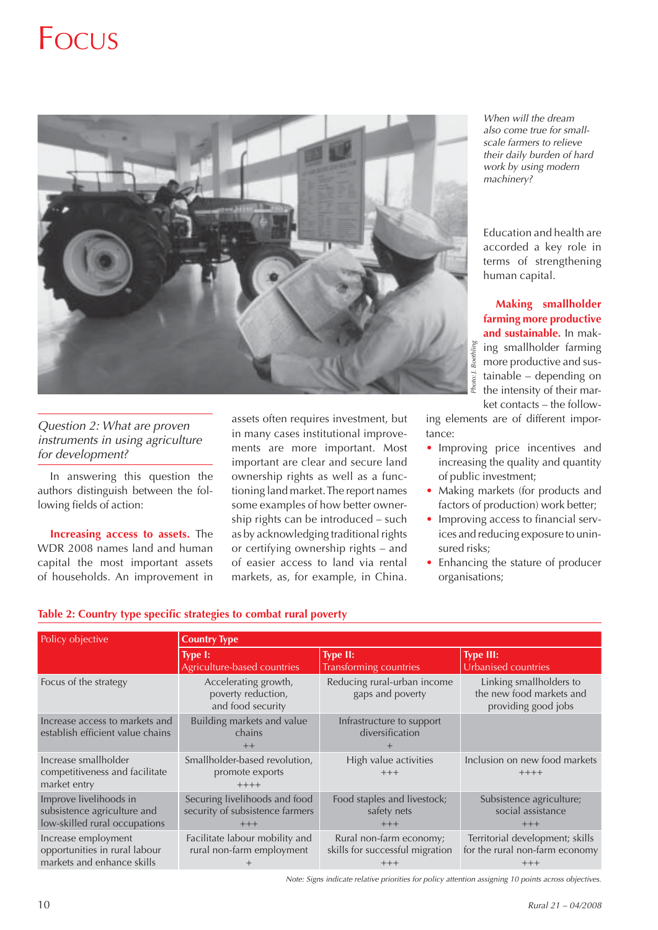

*Question 2: What are proven instruments in using agriculture for development?* 

In answering this question the authors distinguish between the following fields of action:

**Increasing access to assets.** The WDR 2008 names land and human capital the most important assets of households. An improvement in assets often requires investment, but in many cases institutional improvements are more important. Most important are clear and secure land ownership rights as well as a functioning land market. The report names some examples of how better ownership rights can be introduced – such as by acknowledging traditional rights or certifying ownership rights – and of easier access to land via rental markets, as, for example, in China.

*When will the dream also come true for smallscale farmers to relieve their daily burden of hard work by using modern machinery?*

Education and health are accorded a key role in terms of strengthening human capital.

**Making smallholder farming more productive and sustainable.** In making smallholder farming more productive and sustainable – depending on the intensity of their market contacts – the follow-

ing elements are of different importance:

- Improving price incentives and increasing the quality and quantity of public investment;
- Making markets (for products and factors of production) work better;
- Improving access to financial services and reducing exposure to uninsured risks;
- Enhancing the stature of producer organisations;

| Policy objective                                                                       | <b>Country Type</b>                                                       |                                                                     |                                                                            |  |  |  |
|----------------------------------------------------------------------------------------|---------------------------------------------------------------------------|---------------------------------------------------------------------|----------------------------------------------------------------------------|--|--|--|
|                                                                                        | Type I:<br>Agriculture-based countries                                    | <b>Type II:</b><br>Transforming countries                           | <b>Type III:</b><br>Urbanised countries                                    |  |  |  |
| Focus of the strategy                                                                  | Accelerating growth,<br>poverty reduction,<br>and food security           | Reducing rural-urban income<br>gaps and poverty                     | Linking smallholders to<br>the new food markets and<br>providing good jobs |  |  |  |
| Increase access to markets and<br>establish efficient value chains                     | Building markets and value<br>chains<br>$++$                              | Infrastructure to support<br>diversification                        |                                                                            |  |  |  |
| Increase smallholder<br>competitiveness and facilitate<br>market entry                 | Smallholder-based revolution,<br>promote exports<br>$+++++$               | High value activities<br>$+++$                                      | Inclusion on new food markets<br>$+++++$                                   |  |  |  |
| Improve livelihoods in<br>subsistence agriculture and<br>low-skilled rural occupations | Securing livelihoods and food<br>security of subsistence farmers<br>$+++$ | Food staples and livestock;<br>safety nets<br>$+++$                 | Subsistence agriculture;<br>social assistance<br>$+++$                     |  |  |  |
| Increase employment<br>opportunities in rural labour<br>markets and enhance skills     | Facilitate labour mobility and<br>rural non-farm employment               | Rural non-farm economy;<br>skills for successful migration<br>$+++$ | Territorial development; skills<br>for the rural non-farm economy<br>$+++$ |  |  |  |

#### Table 2: Country type specific strategies to combat rural poverty

*Note: Signs indicate relative priorities for policy attention assigning 10 points across objectives.*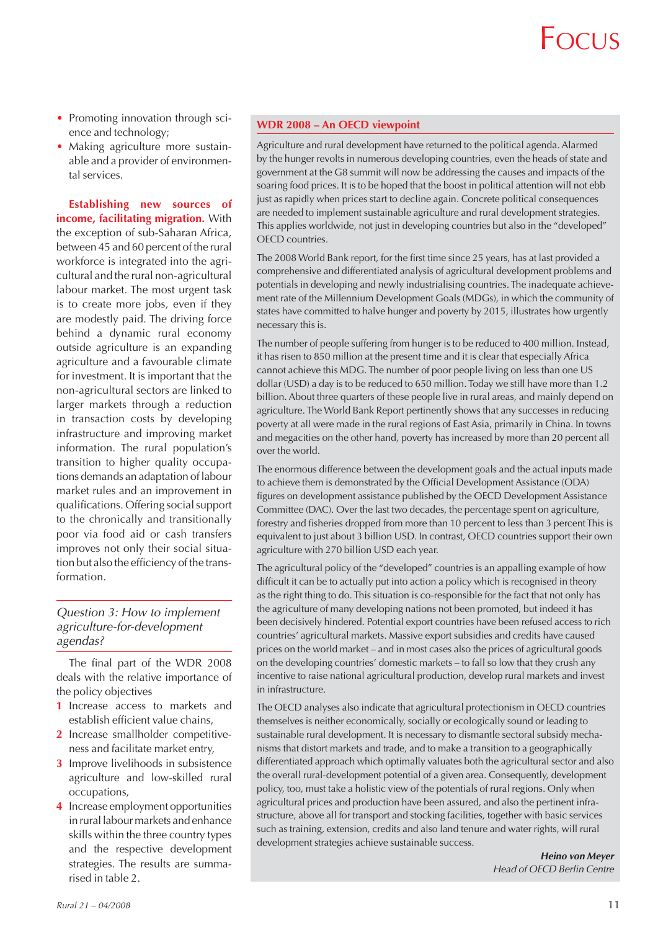- Promoting innovation through science and technology;
- Making agriculture more sustainable and a provider of environmental services.

**Establishing new sources of income, facilitating migration.** With the exception of sub-Saharan Africa, between 45 and 60 percent of the rural workforce is integrated into the agricultural and the rural non-agricultural labour market. The most urgent task is to create more jobs, even if they are modestly paid. The driving force behind a dynamic rural economy outside agriculture is an expanding agriculture and a favourable climate for investment. It is important that the non-agricultural sectors are linked to larger markets through a reduction in transaction costs by developing infrastructure and improving market information. The rural population's transition to higher quality occupations demands an adaptation of labour market rules and an improvement in qualifications. Offering social support to the chronically and transitionally poor via food aid or cash transfers improves not only their social situation but also the efficiency of the transformation.

#### *Question 3: How to implement agriculture-for-development agendas?*

The final part of the WDR 2008 deals with the relative importance of the policy objectives

- **1** Increase access to markets and establish efficient value chains,
- **2** Increase smallholder competitiveness and facilitate market entry,
- **3** Improve livelihoods in subsistence agriculture and low-skilled rural occupations,
- **4** Increase employment opportunities in rural labour markets and enhance skills within the three country types and the respective development strategies. The results are summarised in table 2.

#### **WDR 2008 – An OECD viewpoint**

Agriculture and rural development have returned to the political agenda. Alarmed by the hunger revolts in numerous developing countries, even the heads of state and government at the G8 summit will now be addressing the causes and impacts of the soaring food prices. It is to be hoped that the boost in political attention will not ebb just as rapidly when prices start to decline again. Concrete political consequences are needed to implement sustainable agriculture and rural development strategies. This applies worldwide, not just in developing countries but also in the "developed" OECD countries.

The 2008 World Bank report, for the first time since 25 years, has at last provided a comprehensive and differentiated analysis of agricultural development problems and potentials in developing and newly industrialising countries. The inadequate achievement rate of the Millennium Development Goals (MDGs), in which the community of states have committed to halve hunger and poverty by 2015, illustrates how urgently necessary this is.

The number of people suffering from hunger is to be reduced to 400 million. Instead, it has risen to 850 million at the present time and it is clear that especially Africa cannot achieve this MDG. The number of poor people living on less than one US dollar (USD) a day is to be reduced to 650 million. Today we still have more than 1.2 billion. About three quarters of these people live in rural areas, and mainly depend on agriculture. The World Bank Report pertinently shows that any successes in reducing poverty at all were made in the rural regions of East Asia, primarily in China. In towns and megacities on the other hand, poverty has increased by more than 20 percent all over the world.

The enormous difference between the development goals and the actual inputs made to achieve them is demonstrated by the Official Development Assistance (ODA) figures on development assistance published by the OECD Development Assistance Committee (DAC). Over the last two decades, the percentage spent on agriculture, forestry and fisheries dropped from more than 10 percent to less than 3 percent This is equivalent to just about 3 billion USD. In contrast, OECD countries support their own agriculture with 270 billion USD each year.

The agricultural policy of the "developed" countries is an appalling example of how difficult it can be to actually put into action a policy which is recognised in theory as the right thing to do. This situation is co-responsible for the fact that not only has the agriculture of many developing nations not been promoted, but indeed it has been decisively hindered. Potential export countries have been refused access to rich countries' agricultural markets. Massive export subsidies and credits have caused prices on the world market – and in most cases also the prices of agricultural goods on the developing countries' domestic markets – to fall so low that they crush any incentive to raise national agricultural production, develop rural markets and invest in infrastructure.

The OECD analyses also indicate that agricultural protectionism in OECD countries themselves is neither economically, socially or ecologically sound or leading to sustainable rural development. It is necessary to dismantle sectoral subsidy mechanisms that distort markets and trade, and to make a transition to a geographically differentiated approach which optimally valuates both the agricultural sector and also the overall rural-development potential of a given area. Consequently, development policy, too, must take a holistic view of the potentials of rural regions. Only when agricultural prices and production have been assured, and also the pertinent infrastructure, above all for transport and stocking facilities, together with basic services such as training, extension, credits and also land tenure and water rights, will rural development strategies achieve sustainable success.

> *Heino von Meyer Head of OECD Berlin Centre*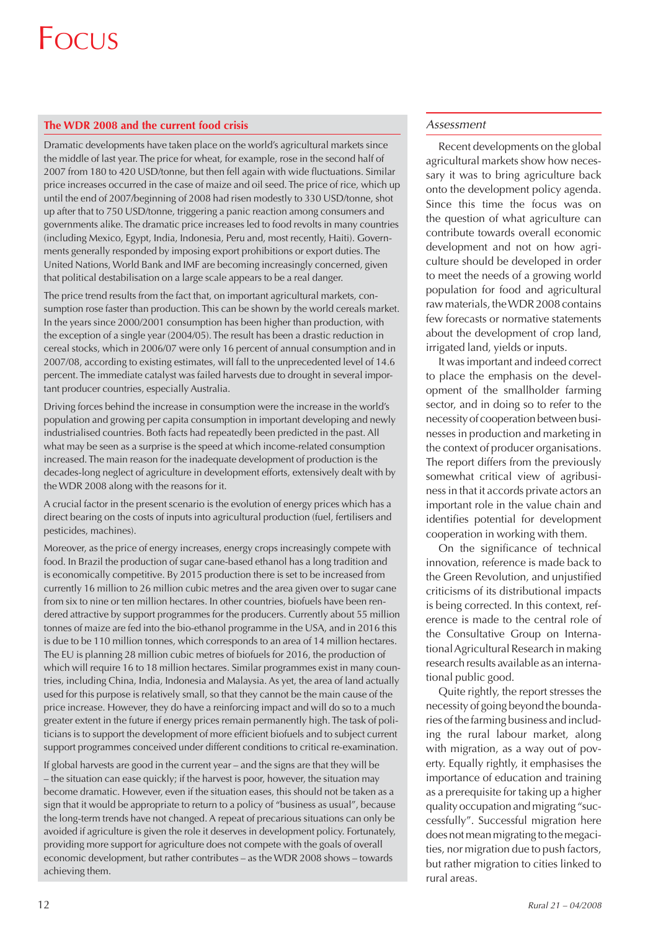#### **The WDR 2008 and the current food crisis**

Dramatic developments have taken place on the world's agricultural markets since the middle of last year. The price for wheat, for example, rose in the second half of 2007 from 180 to 420 USD/tonne, but then fell again with wide fluctuations. Similar price increases occurred in the case of maize and oil seed. The price of rice, which up until the end of 2007/beginning of 2008 had risen modestly to 330 USD/tonne, shot up after that to 750 USD/tonne, triggering a panic reaction among consumers and governments alike. The dramatic price increases led to food revolts in many countries (including Mexico, Egypt, India, Indonesia, Peru and, most recently, Haiti). Governments generally responded by imposing export prohibitions or export duties. The United Nations, World Bank and IMF are becoming increasingly concerned, given that political destabilisation on a large scale appears to be a real danger.

The price trend results from the fact that, on important agricultural markets, consumption rose faster than production. This can be shown by the world cereals market. In the years since 2000/2001 consumption has been higher than production, with the exception of a single year (2004/05). The result has been a drastic reduction in cereal stocks, which in 2006/07 were only 16 percent of annual consumption and in 2007/08, according to existing estimates, will fall to the unprecedented level of 14.6 percent. The immediate catalyst was failed harvests due to drought in several important producer countries, especially Australia.

Driving forces behind the increase in consumption were the increase in the world's population and growing per capita consumption in important developing and newly industrialised countries. Both facts had repeatedly been predicted in the past. All what may be seen as a surprise is the speed at which income-related consumption increased. The main reason for the inadequate development of production is the decades-long neglect of agriculture in development efforts, extensively dealt with by the WDR 2008 along with the reasons for it.

A crucial factor in the present scenario is the evolution of energy prices which has a direct bearing on the costs of inputs into agricultural production (fuel, fertilisers and pesticides, machines).

Moreover, as the price of energy increases, energy crops increasingly compete with food. In Brazil the production of sugar cane-based ethanol has a long tradition and is economically competitive. By 2015 production there is set to be increased from currently 16 million to 26 million cubic metres and the area given over to sugar cane from six to nine or ten million hectares. In other countries, biofuels have been rendered attractive by support programmes for the producers. Currently about 55 million tonnes of maize are fed into the bio-ethanol programme in the USA, and in 2016 this is due to be 110 million tonnes, which corresponds to an area of 14 million hectares. The EU is planning 28 million cubic metres of biofuels for 2016, the production of which will require 16 to 18 million hectares. Similar programmes exist in many countries, including China, India, Indonesia and Malaysia. As yet, the area of land actually used for this purpose is relatively small, so that they cannot be the main cause of the price increase. However, they do have a reinforcing impact and will do so to a much greater extent in the future if energy prices remain permanently high. The task of politicians is to support the development of more efficient biofuels and to subject current support programmes conceived under different conditions to critical re-examination.

If global harvests are good in the current year – and the signs are that they will be – the situation can ease quickly; if the harvest is poor, however, the situation may become dramatic. However, even if the situation eases, this should not be taken as a sign that it would be appropriate to return to a policy of "business as usual", because the long-term trends have not changed. A repeat of precarious situations can only be avoided if agriculture is given the role it deserves in development policy. Fortunately, providing more support for agriculture does not compete with the goals of overall economic development, but rather contributes – as the WDR 2008 shows – towards achieving them.

#### *Assessment*

Recent developments on the global agricultural markets show how necessary it was to bring agriculture back onto the development policy agenda. Since this time the focus was on the question of what agriculture can contribute towards overall economic development and not on how agriculture should be developed in order to meet the needs of a growing world population for food and agricultural raw materials, the WDR 2008 contains few forecasts or normative statements about the development of crop land, irrigated land, yields or inputs.

It was important and indeed correct to place the emphasis on the development of the smallholder farming sector, and in doing so to refer to the necessity of cooperation between businesses in production and marketing in the context of producer organisations. The report differs from the previously somewhat critical view of agribusiness in that it accords private actors an important role in the value chain and identifies potential for development cooperation in working with them.

On the significance of technical innovation, reference is made back to the Green Revolution, and unjustified criticisms of its distributional impacts is being corrected. In this context, reference is made to the central role of the Consultative Group on International Agricultural Research in making research results available as an international public good.

Quite rightly, the report stresses the necessity of going beyond the boundaries of the farming business and including the rural labour market, along with migration, as a way out of poverty. Equally rightly, it emphasises the importance of education and training as a prerequisite for taking up a higher quality occupation and migrating "successfully". Successful migration here does not mean migrating to the megacities, nor migration due to push factors, but rather migration to cities linked to rural areas.